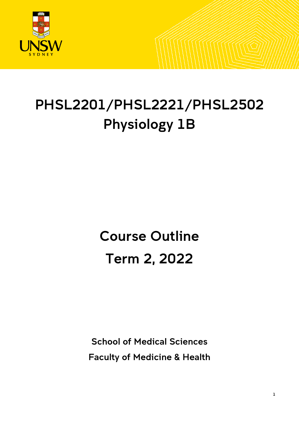

# PHSL2201/PHSL2221/PHSL2502 Physiology 1B

# Course Outline Term 2, 2022

School of Medical Sciences Faculty of Medicine & Health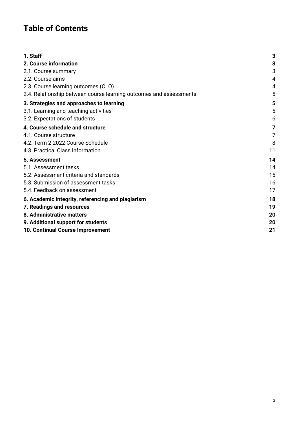# **Table of Contents**

| 1. Staff                                                           | 3  |
|--------------------------------------------------------------------|----|
| 2. Course information                                              | 3  |
| 2.1. Course summary                                                | 3  |
| 2.2. Course aims                                                   | 4  |
| 2.3. Course learning outcomes (CLO)                                | 4  |
| 2.4. Relationship between course learning outcomes and assessments | 5  |
| 3. Strategies and approaches to learning                           | 5  |
| 3.1. Learning and teaching activities                              | 5  |
| 3.2. Expectations of students                                      | 6  |
| 4. Course schedule and structure                                   | 7  |
| 4.1. Course structure                                              | 7  |
| 4.2. Term 2 2022 Course Schedule                                   | 8  |
| 4.3. Practical Class Information                                   | 11 |
| 5. Assessment                                                      | 14 |
| 5.1. Assessment tasks                                              | 14 |
| 5.2. Assessment criteria and standards                             | 15 |
| 5.3. Submission of assessment tasks                                | 16 |
| 5.4. Feedback on assessment                                        | 17 |
| 6. Academic integrity, referencing and plagiarism                  | 18 |
| 7. Readings and resources                                          | 19 |
| 8. Administrative matters                                          | 20 |
| 9. Additional support for students                                 | 20 |
| 10. Continual Course Improvement                                   | 21 |
|                                                                    |    |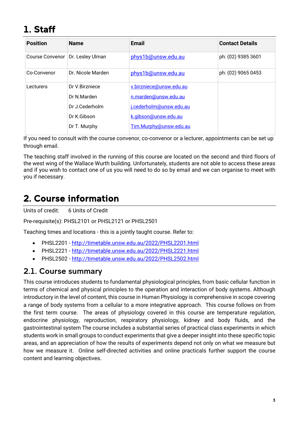# <span id="page-2-0"></span>1. Staff

| <b>Position</b> | <b>Name</b>       | <b>Email</b>            | <b>Contact Details</b> |
|-----------------|-------------------|-------------------------|------------------------|
| Course Convenor | Dr. Lesley Ulman  | phys1b@unsw.edu.au      | ph: (02) 9385 3601     |
| Co-Convenor     | Dr. Nicole Marden | phys1b@unsw.edu.au      | ph: (02) 9065 0453     |
| Lecturers       | Dr V.Birzniece    | v.birzniece@unsw.edu.au |                        |
|                 | Dr N.Marden       | n.marden@unsw.edu.au    |                        |
|                 | Dr.J.Cederholm    | j.cederholm@unsw.edu.au |                        |
|                 | Dr K.Gibson       | k.gibson@unsw.edu.au    |                        |
|                 | Dr T. Murphy      | Tim.Murphy@unsw.edu.au  |                        |

If you need to consult with the course convenor, co-convenor or a lecturer, appointments can be set up through email.

The teaching staff involved in the running of this course are located on the second and third floors of the west wing of the Wallace Wurth building. Unfortunately, students are not able to access these areas and if you wish to contact one of us you will need to do so by email and we can organise to meet with you if necessary.

# <span id="page-2-1"></span>2. Course information

Units of credit: 6 Units of Credit

Pre-requisite(s): PHSL2101 or PHSL2121 or PHSL2501

Teaching times and locations - this is a jointly taught course. Refer to:

- PHSL2201 <http://timetable.unsw.edu.au/2022/PHSL2201.html>
- PHSL2221 <http://timetable.unsw.edu.au/2022/PHSL2221.html>
- PHSL2502 <http://timetable.unsw.edu.au/2022/PHSL2502.html>

## <span id="page-2-2"></span>2.1. Course summary

This course introduces students to fundamental physiological principles, from basic cellular function in terms of chemical and physical principles to the operation and interaction of body systems. Although introductory in the level of content, this course in Human Physiology is comprehensive in scope covering a range of body systems from a cellular to a more integrative approach. This course follows on from the first term course. The areas of physiology covered in this course are temperature regulation, endocrine physiology, reproduction, respiratory physiology, kidney and body fluids, and the gastrointestinal system The course includes a substantial series of practical class experiments in which students work in small groups to conduct experiments that give a deeper insight into these specific topic areas, and an appreciation of how the results of experiments depend not only on what we measure but how we measure it. Online self-directed activities and online practicals further support the course content and learning objectives.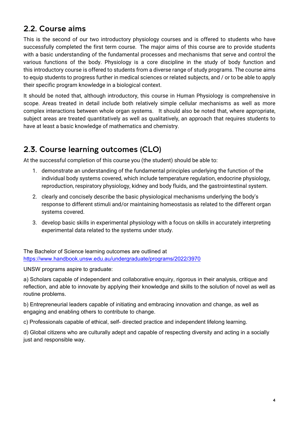# <span id="page-3-0"></span>2.2. Course aims

This is the second of our two introductory physiology courses and is offered to students who have successfully completed the first term course. The major aims of this course are to provide students with a basic understanding of the fundamental processes and mechanisms that serve and control the various functions of the body. Physiology is a core discipline in the study of body function and this introductory course is offered to students from a diverse range of study programs. The course aims to equip students to progress further in medical sciences or related subjects, and / or to be able to apply their specific program knowledge in a biological context.

It should be noted that, although introductory, this course in Human Physiology is comprehensive in scope. Areas treated in detail include both relatively simple cellular mechanisms as well as more complex interactions between whole organ systems. It should also be noted that, where appropriate, subject areas are treated quantitatively as well as qualitatively, an approach that requires students to have at least a basic knowledge of mathematics and chemistry.

# <span id="page-3-1"></span>2.3. Course learning outcomes (CLO)

At the successful completion of this course you (the student) should be able to:

- 1. demonstrate an understanding of the fundamental principles underlying the function of the individual body systems covered, which include temperature regulation, endocrine physiology, reproduction, respiratory physiology, kidney and body fluids, and the gastrointestinal system.
- 2. clearly and concisely describe the basic physiological mechanisms underlying the body's response to different stimuli and/or maintaining homeostasis as related to the different organ systems covered.
- 3. develop basic skills in experimental physiology with a focus on skills in accurately interpreting experimental data related to the systems under study.

The Bachelor of Science learning outcomes are outlined at <https://www.handbook.unsw.edu.au/undergraduate/programs/2022/3970>

UNSW programs aspire to graduate:

a) Scholars capable of independent and collaborative enquiry, rigorous in their analysis, critique and reflection, and able to innovate by applying their knowledge and skills to the solution of novel as well as routine problems.

b) Entrepreneurial leaders capable of initiating and embracing innovation and change, as well as engaging and enabling others to contribute to change.

c) Professionals capable of ethical, self- directed practice and independent lifelong learning.

d) Global citizens who are culturally adept and capable of respecting diversity and acting in a socially just and responsible way.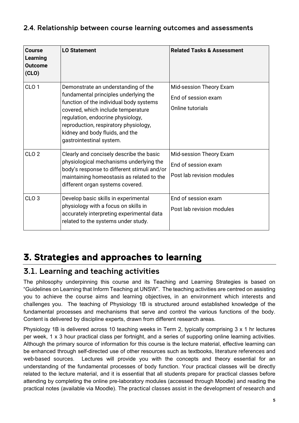#### <span id="page-4-0"></span>2.4. Relationship between course learning outcomes and assessments

| Course<br>Learning<br><b>Outcome</b><br>(CLO) | <b>LO Statement</b>                                                                                                                                                                                                                                                                                        | <b>Related Tasks &amp; Assessment</b>                                       |
|-----------------------------------------------|------------------------------------------------------------------------------------------------------------------------------------------------------------------------------------------------------------------------------------------------------------------------------------------------------------|-----------------------------------------------------------------------------|
| CLO <sub>1</sub>                              | Demonstrate an understanding of the<br>fundamental principles underlying the<br>function of the individual body systems<br>covered, which include temperature<br>regulation, endocrine physiology,<br>reproduction, respiratory physiology,<br>kidney and body fluids, and the<br>gastrointestinal system. | Mid-session Theory Exam<br>End of session exam<br>Online tutorials          |
| CLO <sub>2</sub>                              | Clearly and concisely describe the basic<br>physiological mechanisms underlying the<br>body's response to different stimuli and/or<br>maintaining homeostasis as related to the<br>different organ systems covered.                                                                                        | Mid-session Theory Exam<br>End of session exam<br>Post lab revision modules |
| CLO <sub>3</sub>                              | Develop basic skills in experimental<br>physiology with a focus on skills in<br>accurately interpreting experimental data<br>related to the systems under study.                                                                                                                                           | End of session exam<br>Post lab revision modules                            |

# <span id="page-4-1"></span>3. Strategies and approaches to learning

# <span id="page-4-2"></span>3.1. Learning and teaching activities

The philosophy underpinning this course and its Teaching and Learning Strategies is based on "Guidelines on Learning that Inform Teaching at UNSW". The teaching activities are centred on assisting you to achieve the course aims and learning objectives, in an environment which interests and challenges you. The teaching of Physiology 1B is structured around established knowledge of the fundamental processes and mechanisms that serve and control the various functions of the body. Content is delivered by discipline experts, drawn from different research areas.

Physiology 1B is delivered across 10 teaching weeks in Term 2, typically comprising 3 x 1 hr lectures per week, 1 x 3 hour practical class per fortnight, and a series of supporting online learning activities. Although the primary source of information for this course is the lecture material, effective learning can be enhanced through self-directed use of other resources such as textbooks, literature references and web-based sources. Lectures will provide you with the concepts and theory essential for an understanding of the fundamental processes of body function. Your practical classes will be directly related to the lecture material, and it is essential that all students prepare for practical classes before attending by completing the online pre-laboratory modules (accessed through Moodle) and reading the practical notes (available via Moodle). The practical classes assist in the development of research and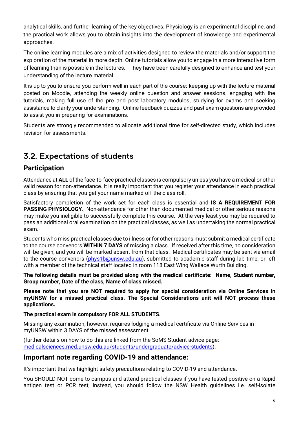analytical skills, and further learning of the key objectives. Physiology is an experimental discipline, and the practical work allows you to obtain insights into the development of knowledge and experimental approaches.

The online learning modules are a mix of activities designed to review the materials and/or support the exploration of the material in more depth. Online tutorials allow you to engage in a more interactive form of learning than is possible in the lectures. They have been carefully designed to enhance and test your understanding of the lecture material.

It is up to you to ensure you perform well in each part of the course: keeping up with the lecture material posted on Moodle, attending the weekly online question and answer sessions, engaging with the tutorials, making full use of the pre and post laboratory modules, studying for exams and seeking assistance to clarify your understanding. Online feedback quizzes and past exam questions are provided to assist you in preparing for examinations.

Students are strongly recommended to allocate additional time for self-directed study, which includes revision for assessments.

# <span id="page-5-0"></span>3.2. Expectations of students

## **Participation**

Attendance at **ALL** of the face-to-face practical classes is compulsory unless you have a medical or other valid reason for non-attendance. It is really important that you register your attendance in each practical class by ensuring that you get your name marked off the class roll.

Satisfactory completion of the work set for each class is essential and **IS A REQUIREMENT FOR PASSING PHYSIOLOGY**. Non-attendance for other than documented medical or other serious reasons may make you ineligible to successfully complete this course. At the very least you may be required to pass an additional oral examination on the practical classes, as well as undertaking the normal practical exam.

Students who miss practical classes due to illness or for other reasons must submit a medical certificate to the course convenors **WITHIN 7 DAYS** of missing a class. If received after this time, no consideration will be given, and you will be marked absent from that class. Medical certificates may be sent via email to the course convenors [\(phys1b@unsw.edu.au\)](mailto:phys1b@unsw.edu.au), submitted to academic staff during lab time, or left with a member of the technical staff located in room 118 East Wing Wallace Wurth Building.

**The following details must be provided along with the medical certificate: Name, Student number, Group number, Date of the class, Name of class missed.**

**Please note that you are NOT required to apply for special consideration via Online Services in myUNSW for a missed practical class. The Special Considerations unit will NOT process these applications.**

**The practical exam is compulsory FOR ALL STUDENTS.**

Missing any examination, however, requires lodging a medical certificate via Online Services in myUNSW within 3 DAYS of the missed assessment.

(further details on how to do this are linked from the SoMS Student advice page: [medicalsciences.med.unsw.edu.au/students/undergraduate/advice-students\)](http://medicalsciences.med.unsw.edu.au/students/undergraduate/advice-students).

#### **Important note regarding COVID-19 and attendance:**

It's important that we highlight safety precautions relating to COVID-19 and attendance.

You SHOULD NOT come to campus and attend practical classes if you have tested positive on a Rapid antigen test or PCR test; instead, you should follow the NSW Health guidelines i.e. self-isolate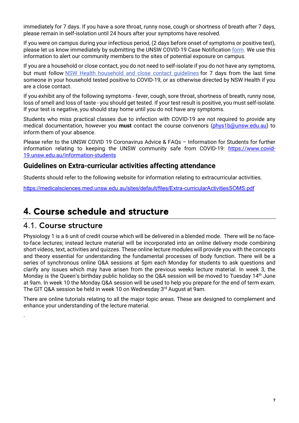immediately for 7 days. If you have a sore throat, runny nose, cough or shortness of breath after 7 days, please remain in self-isolation until 24 hours after your symptoms have resolved.

If you were on campus during your infectious period, (2 days before onset of symptoms or positive test), please let us know immediately by submitting the UNSW COVID-19 Case Notification [form.](https://www.covid-19.unsw.edu.au/covid-19-case-notification) We use this information to alert our community members to the sites of potential exposure on campus.

If you are a household or close contact, you do not need to self-isolate if you do not have any symptoms, but must follow [NSW Health household and close contact guidelines](https://www.nsw.gov.au/covid-19/management/household-contacts) for 7 days from the last time someone in your household tested positive to COVID-19, or as otherwise directed by NSW Health if you are a close contact.

If you exhibit any of the following symptoms - fever, cough, sore throat, shortness of breath, runny nose, loss of smell and loss of taste - you should get tested. If your test result is positive, you must self-isolate. If your test is negative, you should stay home until you do not have any symptoms.

Students who miss practical classes due to infection with COVID-19 are not required to provide any medical documentation, however you **must** contact the course convenors [\(phys1b@unsw.edu.au\)](mailto:phys1b@unsw.edu.au) to inform them of your absence.

Please refer to the UNSW COVID 19 Coronavirus Advice & FAQs – Information for Students for further information relating to keeping the UNSW community safe from COVID-19: [https://www.covid-](https://www.covid-19.unsw.edu.au/information-students)[19.unsw.edu.au/information-students](https://www.covid-19.unsw.edu.au/information-students)

#### **Guidelines on Extra-curricular activities affecting attendance**

Students should refer to the following website for information relating to extracurricular activities.

<https://medicalsciences.med.unsw.edu.au/sites/default/files/Extra-curricularActivitiesSOMS.pdf>

# <span id="page-6-0"></span>**4.** Course schedule and structure

## <span id="page-6-1"></span>4.1. Course structure

.

Physiology 1 is a 6 unit of credit course which will be delivered in a blended mode. There will be no faceto-face lectures; instead lecture material will be incorporated into an online delivery mode combining short videos, text, activities and quizzes. These online lecture modules will provide you with the concepts and theory essential for understanding the fundamental processes of body function. There will be a series of synchronous online Q&A sessions at 5pm each Monday for students to ask questions and clarify any issues which may have arisen from the previous weeks lecture material. In week 3, the Monday is the Queen's birthday public holiday so the Q&A session will be moved to Tuesday 14<sup>th</sup> June at 9am. In week 10 the Monday Q&A session will be used to help you prepare for the end of term exam. The GIT Q&A session be held in week 10 on Wednesday 3<sup>rd</sup> August at 9am.

There are online tutorials relating to all the major topic areas. These are designed to complement and enhance your understanding of the lecture material.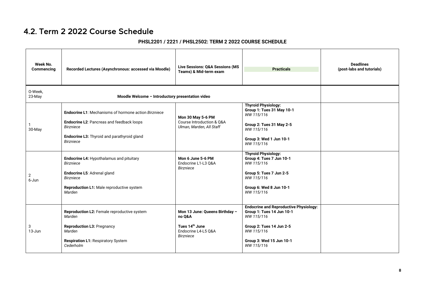# 4.2. Term 2 2022 Course Schedule

#### **PHSL2201 / 2221 / PHSL2502: TERM 2 2022 COURSE SCHEDULE**

<span id="page-7-0"></span>

| Week No.<br>Commencing | Recorded Lectures (Asynchronous: accessed via Moodle)                                                                                                                                           | Live Sessions: Q&A Sessions (MS<br>Teams) & Mid-term exam                                                         | <b>Practicals</b>                                                                                                                                                            | <b>Deadlines</b><br>(post-labs and tutorials) |  |  |
|------------------------|-------------------------------------------------------------------------------------------------------------------------------------------------------------------------------------------------|-------------------------------------------------------------------------------------------------------------------|------------------------------------------------------------------------------------------------------------------------------------------------------------------------------|-----------------------------------------------|--|--|
| 0-Week,<br>23-May      | Moodle Welcome - Introductory presentation video                                                                                                                                                |                                                                                                                   |                                                                                                                                                                              |                                               |  |  |
| 30-May                 | <b>Endocrine L1:</b> Mechanisms of hormone action Birzniece<br>Endocrine L2: Pancreas and feedback loops<br><b>Birzniece</b><br>Endocrine L3: Thyroid and parathyroid gland<br><b>Birzniece</b> | Mon 30 May 5-6 PM<br>Course Introduction & Q&A<br>Ulman, Marden, All Staff                                        | <b>Thyroid Physiology:</b><br>Group 1: Tues 31 May 10-1<br>WW 115/116<br>Group 2: Tues 31 May 2-5<br>WW 115/116<br>Group 3: Wed 1 Jun 10-1<br>WW 115/116                     |                                               |  |  |
| 2<br>6-Jun             | Endocrine L4: Hypothalamus and pituitary<br><b>Birzniece</b><br>Endocrine L5: Adrenal gland<br><b>Birzniece</b><br>Reproduction L1: Male reproductive system<br>Marden                          | Mon 6 June 5-6 PM<br>Endocrine L1-L3 Q&A<br><b>Birzniece</b>                                                      | <b>Thyroid Physiology:</b><br>Group 4: Tues 7 Jun 10-1<br>WW 115/116<br>Group 5: Tues 7 Jun 2-5<br>WW 115/116<br>Group 6: Wed 8 Jun 10-1<br>WW 115/116                       |                                               |  |  |
| 3<br>$13 - Jun$        | Reproduction L2: Female reproductive system<br>Marden<br><b>Reproduction L3: Pregnancy</b><br>Marden<br><b>Respiration L1: Respiratory System</b><br>Cederholm                                  | Mon 13 June: Queens Birthday -<br>no Q&A<br>Tues 14 <sup>th</sup> June<br>Endocrine L4-L5 Q&A<br><b>Birzniece</b> | <b>Endocrine and Reproductive Physiology:</b><br>Group 1: Tues 14 Jun 10-1<br>WW 115/116<br>Group 2: Tues 14 Jun 2-5<br>WW 115/116<br>Group 3: Wed 15 Jun 10-1<br>WW 115/116 |                                               |  |  |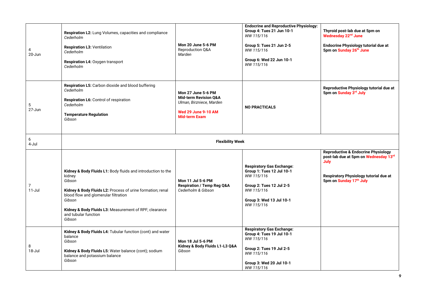| 4<br>20-Jun     | Respiration L2: Lung Volumes, capacities and compliance<br>Cederholm<br><b>Respiration L3: Ventilation</b><br>Cederholm<br>Respiration L4: Oxygen transport<br>Cederholm                                                                                                                     | Mon 20 June 5-6 PM<br>Reproduction Q&A<br>Marden                                                                                                | <b>Endocrine and Reproductive Physiology:</b><br>Group 4: Tues 21 Jun 10-1<br>WW 115/116<br>Group 5: Tues 21 Jun 2-5<br>WW 115/116<br>Group 6: Wed 22 Jun 10-1<br>WW 115/116 | Thyroid post-lab due at 5pm on<br>Wednesday 22 <sup>nd</sup> June<br>Endocrine Physiology tutorial due at<br>5pm on Sunday 26th June                                 |
|-----------------|----------------------------------------------------------------------------------------------------------------------------------------------------------------------------------------------------------------------------------------------------------------------------------------------|-------------------------------------------------------------------------------------------------------------------------------------------------|------------------------------------------------------------------------------------------------------------------------------------------------------------------------------|----------------------------------------------------------------------------------------------------------------------------------------------------------------------|
| 5<br>27-Jun     | Respiration L5: Carbon dioxide and blood buffering<br>Cederholm<br><b>Respiration L6: Control of respiration</b><br>Cederholm<br><b>Temperature Regulation</b><br>Gibson                                                                                                                     | <b>Mon 27 June 5-6 PM</b><br><b>Mid-term Revision Q&amp;A</b><br>Ulman, Birzniece, Marden<br><b>Wed 29 June 9-10 AM</b><br><b>Mid-term Exam</b> | <b>NO PRACTICALS</b>                                                                                                                                                         | Reproductive Physiology tutorial due at<br>5pm on Sunday 3rd July                                                                                                    |
| 6<br>4-Jul      |                                                                                                                                                                                                                                                                                              | <b>Flexibility Week</b>                                                                                                                         |                                                                                                                                                                              |                                                                                                                                                                      |
| 7<br>$11 -$ Jul | Kidney & Body Fluids L1: Body fluids and introduction to the<br>kidney<br>Gibson<br>Kidney & Body Fluids L2: Process of urine formation; renal<br>blood flow and glomerular filtration<br>Gibson<br>Kidney & Body Fluids L3: Measurement of RPF; clearance<br>and tubular function<br>Gibson | Mon 11 Jul 5-6 PM<br><b>Respiration / Temp Reg Q&amp;A</b><br>Cederholm & Gibson                                                                | <b>Respiratory Gas Exchange:</b><br>Group 1: Tues 12 Jul 10-1<br>WW 115/116<br>Group 2: Tues 12 Jul 2-5<br>WW 115/116<br>Group 3: Wed 13 Jul 10-1<br>WW 115/116              | <b>Reproductive &amp; Endocrine Physiology</b><br>post-lab due at 5pm on Wednesday 13rd<br>July<br>Respiratory Physiology tutorial due at<br>5pm on Sunday 17th July |
| 8<br>18-Jul     | Kidney & Body Fluids L4: Tubular function (cont) and water<br>balance<br>Gibson<br>Kidney & Body Fluids L5: Water balance (cont); sodium<br>balance and potassium balance<br>Gibson                                                                                                          | Mon 18 Jul 5-6 PM<br>Kidney & Body Fluids L1-L3 Q&A<br>Gibson                                                                                   | <b>Respiratory Gas Exchange:</b><br>Group 4: Tues 19 Jul 10-1<br>WW 115/116<br>Group 2: Tues 19 Jul 2-5<br>WW 115/116<br>Group 3: Wed 20 Jul 10-1<br>WW 115/116              |                                                                                                                                                                      |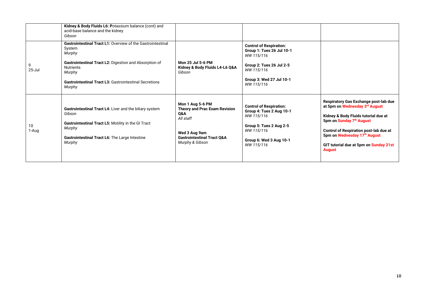|             | Kidney & Body Fluids L6: Potassium balance (cont) and<br>acid-base balance and the kidney<br>Gibson                                                                                                                                                       |                                                                                                                                                                      |                                                                                                                                                               |                                                                                                                                                                                                                                                                                         |
|-------------|-----------------------------------------------------------------------------------------------------------------------------------------------------------------------------------------------------------------------------------------------------------|----------------------------------------------------------------------------------------------------------------------------------------------------------------------|---------------------------------------------------------------------------------------------------------------------------------------------------------------|-----------------------------------------------------------------------------------------------------------------------------------------------------------------------------------------------------------------------------------------------------------------------------------------|
| $25 -$ Jul  | Gastrointestinal Tract L1: Overview of the Gastrointestinal<br>System<br>Murphy<br><b>Gastrointestinal Tract L2: Digestion and Absorption of</b><br><b>Nutrients</b><br>Murphy<br><b>Gastrointestinal Tract L3: Gastrointestinal Secretions</b><br>Murphy | Mon 25 Jul 5-6 PM<br>Kidney & Body Fluids L4-L6 Q&A<br>Gibson                                                                                                        | <b>Control of Respiration:</b><br>Group 1: Tues 26 Jul 10-1<br>WW 115/116<br>Group 2: Tues 26 Jul 2-5<br>WW 115/116<br>Group 3: Wed 27 Jul 10-1<br>WW 115/116 |                                                                                                                                                                                                                                                                                         |
| 10<br>1-Aug | Gastrointestinal Tract L4: Liver and the biliary system<br>Gibson<br>Gastrointestinal Tract L5: Motility in the GI Tract<br>Murphy<br>Gastrointestinal Tract L6: The Large Intestine<br>Murphy                                                            | Mon 1 Aug 5-6 PM<br><b>Theory and Prac Exam Revision</b><br><b>O&amp;A</b><br>All staff<br>Wed 3 Aug 9am<br><b>Gastrointestinal Tract Q&amp;A</b><br>Murphy & Gibson | <b>Control of Respiration:</b><br>Group 4: Tues 2 Aug 10-1<br>WW 115/116<br>Group 5: Tues 2 Aug 2-5<br>WW 115/116<br>Group 6: Wed 3 Aug 10-1<br>WW 115/116    | Respiratory Gas Exchange post-lab due<br>at 5pm on Wednesday 3rd August<br>Kidney & Body Fluids tutorial due at<br>5pm on Sunday 7th August<br><b>Control of Respiration post-lab due at</b><br>5pm on Wednesday 17th August<br>GIT tutorial due at 5pm on Sunday 21st<br><b>August</b> |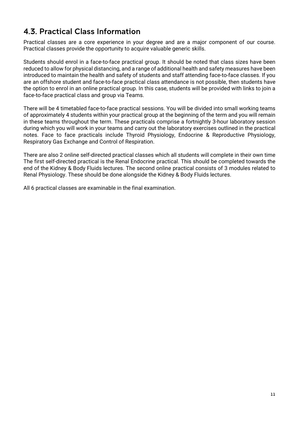# <span id="page-10-0"></span>4.3. Practical Class Information

Practical classes are a core experience in your degree and are a major component of our course. Practical classes provide the opportunity to acquire valuable generic skills.

Students should enrol in a face-to-face practical group. It should be noted that class sizes have been reduced to allow for physical distancing, and a range of additional health and safety measures have been introduced to maintain the health and safety of students and staff attending face-to-face classes. If you are an offshore student and face-to-face practical class attendance is not possible, then students have the option to enrol in an online practical group. In this case, students will be provided with links to join a face-to-face practical class and group via Teams.

There will be 4 timetabled face-to-face practical sessions. You will be divided into small working teams of approximately 4 students within your practical group at the beginning of the term and you will remain in these teams throughout the term. These practicals comprise a fortnightly 3-hour laboratory session during which you will work in your teams and carry out the laboratory exercises outlined in the practical notes. Face to face practicals include Thyroid Physiology, Endocrine & Reproductive Physiology, Respiratory Gas Exchange and Control of Respiration.

There are also 2 online self-directed practical classes which all students will complete in their own time The first self-directed practical is the Renal Endocrine practical. This should be completed towards the end of the Kidney & Body Fluids lectures. The second online practical consists of 3 modules related to Renal Physiology. These should be done alongside the Kidney & Body Fluids lectures.

All 6 practical classes are examinable in the final examination.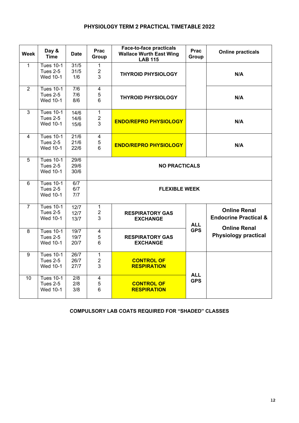#### **PHYSIOLOGY TERM 2 PRACTICAL TIMETABLE 2022**

| <b>Week</b>    | Day &<br><b>Time</b>                            | <b>Date</b>          | <b>Prac</b><br>Group                | <b>Face-to-face practicals</b><br><b>Wallace Wurth East Wing</b><br><b>LAB 115</b> | <b>Prac</b><br>Group | <b>Online practicals</b>                                                       |
|----------------|-------------------------------------------------|----------------------|-------------------------------------|------------------------------------------------------------------------------------|----------------------|--------------------------------------------------------------------------------|
| $\mathbf{1}$   | <b>Tues 10-1</b><br><b>Tues 2-5</b><br>Wed 10-1 | 31/5<br>31/5<br>1/6  | $\mathbf{1}$<br>$\overline{2}$<br>3 | <b>THYROID PHYSIOLOGY</b>                                                          |                      | N/A                                                                            |
| 2              | <b>Tues 10-1</b><br><b>Tues 2-5</b><br>Wed 10-1 | 7/6<br>7/6<br>8/6    | $\overline{\mathbf{4}}$<br>5<br>6   | <b>THYROID PHYSIOLOGY</b>                                                          |                      | N/A                                                                            |
| 3              | <b>Tues 10-1</b><br><b>Tues 2-5</b><br>Wed 10-1 | 14/6<br>14/6<br>15/6 | $\mathbf{1}$<br>$\overline{c}$<br>3 | <b>ENDO/REPRO PHYSIOLOGY</b>                                                       |                      | N/A                                                                            |
| $\overline{4}$ | <b>Tues 10-1</b><br><b>Tues 2-5</b><br>Wed 10-1 | 21/6<br>21/6<br>22/6 | $\overline{\mathbf{4}}$<br>5<br>6   | <b>ENDO/REPRO PHYSIOLOGY</b>                                                       |                      | N/A                                                                            |
| 5              | Tues $10-1$<br><b>Tues 2-5</b><br>Wed 10-1      | 29/6<br>29/6<br>30/6 |                                     | <b>NO PRACTICALS</b>                                                               |                      |                                                                                |
| 6              | <b>Tues 10-1</b><br><b>Tues 2-5</b><br>Wed 10-1 | 6/7<br>6/7<br>7/7    |                                     | <b>FLEXIBLE WEEK</b>                                                               |                      |                                                                                |
| $\overline{7}$ | <b>Tues 10-1</b><br><b>Tues 2-5</b><br>Wed 10-1 | 12/7<br>12/7<br>13/7 | $\mathbf{1}$<br>$\overline{2}$<br>3 | <b>RESPIRATORY GAS</b><br><b>EXCHANGE</b>                                          | <b>ALL</b>           | <b>Online Renal</b><br><b>Endocrine Practical &amp;</b><br><b>Online Renal</b> |
| 8              | <b>Tues 10-1</b><br><b>Tues 2-5</b><br>Wed 10-1 | 19/7<br>19/7<br>20/7 | $\overline{\mathbf{4}}$<br>5<br>6   | <b>RESPIRATORY GAS</b><br><b>EXCHANGE</b>                                          | <b>GPS</b>           | <b>Physiology practical</b>                                                    |
| 9              | <b>Tues 10-1</b><br><b>Tues 2-5</b><br>Wed 10-1 | 26/7<br>26/7<br>27/7 | $\mathbf{1}$<br>$\overline{c}$<br>3 | <b>CONTROL OF</b><br><b>RESPIRATION</b>                                            | <b>ALL</b>           |                                                                                |
| 10             | <b>Tues 10-1</b><br><b>Tues 2-5</b><br>Wed 10-1 | 2/8<br>2/8<br>3/8    | $\overline{\mathbf{4}}$<br>5<br>6   | <b>CONTROL OF</b><br><b>RESPIRATION</b>                                            | <b>GPS</b>           |                                                                                |

#### **COMPULSORY LAB COATS REQUIRED FOR "SHADED" CLASSES**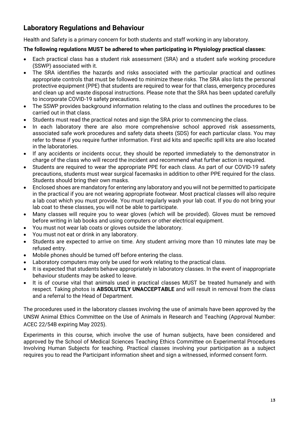## **Laboratory Regulations and Behaviour**

Health and Safety is a primary concern for both students and staff working in any laboratory.

#### **The following regulations MUST be adhered to when participating in Physiology practical classes:**

- Each practical class has a student risk assessment (SRA) and a student safe working procedure (SSWP) associated with it.
- The SRA identifies the hazards and risks associated with the particular practical and outlines appropriate controls that must be followed to minimize these risks. The SRA also lists the personal protective equipment (PPE) that students are required to wear for that class, emergency procedures and clean up and waste disposal instructions. Please note that the SRA has been updated carefully to incorporate COVID-19 safety precautions.
- The SSWP provides background information relating to the class and outlines the procedures to be carried out in that class.
- Students must read the practical notes and sign the SRA prior to commencing the class.
- In each laboratory there are also more comprehensive school approved risk assessments, associated safe work procedures and safety data sheets (SDS) for each particular class. You may refer to these if you require further information. First aid kits and specific spill kits are also located in the laboratories.
- If any accidents or incidents occur, they should be reported immediately to the demonstrator in charge of the class who will record the incident and recommend what further action is required.
- Students are required to wear the appropriate PPE for each class. As part of our COVID-19 safety precautions, students must wear surgical facemasks in addition to other PPE required for the class. Students should bring their own masks.
- Enclosed shoes are mandatory for entering any laboratory and you will not be permitted to participate in the practical if you are not wearing appropriate footwear. Most practical classes will also require a lab coat which you must provide. You must regularly wash your lab coat. If you do not bring your lab coat to these classes, you will not be able to participate.
- Many classes will require you to wear gloves (which will be provided). Gloves must be removed before writing in lab books and using computers or other electrical equipment.
- You must not wear lab coats or gloves outside the laboratory.
- You must not eat or drink in any laboratory.
- Students are expected to arrive on time. Any student arriving more than 10 minutes late may be refused entry.
- Mobile phones should be turned off before entering the class.
- Laboratory computers may only be used for work relating to the practical class.
- It is expected that students behave appropriately in laboratory classes. In the event of inappropriate behaviour students may be asked to leave.
- It is of course vital that animals used in practical classes MUST be treated humanely and with respect. Taking photos is **ABSOLUTELY UNACCEPTABLE** and will result in removal from the class and a referral to the Head of Department.

The procedures used in the laboratory classes involving the use of animals have been approved by the UNSW Animal Ethics Committee on the Use of Animals in Research and Teaching (Approval Number: ACEC 22/54B expiring May 2025).

Experiments in this course, which involve the use of human subjects, have been considered and approved by the School of Medical Sciences Teaching Ethics Committee on Experimental Procedures Involving Human Subjects for teaching. Practical classes involving your participation as a subject requires you to read the Participant information sheet and sign a witnessed, informed consent form.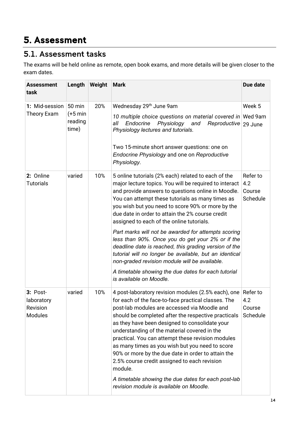# <span id="page-13-0"></span>5. Assessment

# <span id="page-13-1"></span>5.1. Assessment tasks

The exams will be held online as remote, open book exams, and more details will be given closer to the exam dates.

| <b>Assessment</b><br>task                              | Length                                 | Weight | <b>Mark</b>                                                                                                                                                                                                                                                                                                                                                                                                                                                                                                                                                                                         | Due date                              |
|--------------------------------------------------------|----------------------------------------|--------|-----------------------------------------------------------------------------------------------------------------------------------------------------------------------------------------------------------------------------------------------------------------------------------------------------------------------------------------------------------------------------------------------------------------------------------------------------------------------------------------------------------------------------------------------------------------------------------------------------|---------------------------------------|
| 1: Mid-session                                         | 50 min                                 | 20%    | Wednesday 29 <sup>th</sup> June 9am                                                                                                                                                                                                                                                                                                                                                                                                                                                                                                                                                                 | Week 5                                |
| <b>Theory Exam</b>                                     | $(+5 \text{ min})$<br>reading<br>time) |        | 10 multiple choice questions on material covered in Wed 9am<br>Endocrine<br>all<br>Physiology<br>and<br>Reproductive<br>Physiology lectures and tutorials.<br>Two 15-minute short answer questions: one on<br>Endocrine Physiology and one on Reproductive<br>Physiology.                                                                                                                                                                                                                                                                                                                           | 29 June                               |
|                                                        |                                        |        |                                                                                                                                                                                                                                                                                                                                                                                                                                                                                                                                                                                                     |                                       |
| 2: Online<br><b>Tutorials</b>                          | varied                                 | 10%    | 5 online tutorials (2% each) related to each of the<br>major lecture topics. You will be required to interact<br>and provide answers to questions online in Moodle.<br>You can attempt these tutorials as many times as<br>you wish but you need to score 90% or more by the<br>due date in order to attain the 2% course credit<br>assigned to each of the online tutorials.                                                                                                                                                                                                                       | Refer to<br>4.2<br>Course<br>Schedule |
|                                                        |                                        |        | Part marks will not be awarded for attempts scoring<br>less than 90%. Once you do get your 2% or if the<br>deadline date is reached, this grading version of the<br>tutorial will no longer be available, but an identical<br>non-graded revision module will be available.<br>A timetable showing the due dates for each tutorial<br>is available on Moodle.                                                                                                                                                                                                                                       |                                       |
| $3: Post-$<br>laboratory<br>Revision<br><b>Modules</b> | varied                                 | 10%    | 4 post-laboratory revision modules (2.5% each), one<br>for each of the face-to-face practical classes. The<br>post-lab modules are accessed via Moodle and<br>should be completed after the respective practicals<br>as they have been designed to consolidate your<br>understanding of the material covered in the<br>practical. You can attempt these revision modules<br>as many times as you wish but you need to score<br>90% or more by the due date in order to attain the<br>2.5% course credit assigned to each revision<br>module.<br>A timetable showing the due dates for each post-lab | Refer to<br>4.2<br>Course<br>Schedule |
|                                                        |                                        |        | revision module is available on Moodle.                                                                                                                                                                                                                                                                                                                                                                                                                                                                                                                                                             |                                       |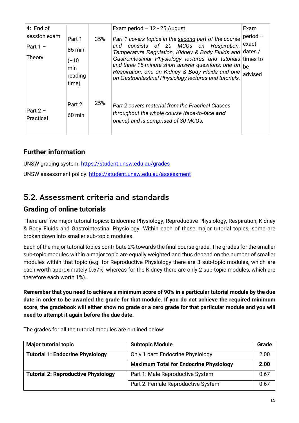| 4: End of<br>session exam<br>Part $1 -$<br>Theory | Part 1<br>85 min<br>(+10<br>min<br>reading<br>time) | 35% | Exam period $-12 - 25$ August<br>Part 1 covers topics in the second part of the course<br>consists of 20 MCQs on Respiration,<br>and<br>Temperature Regulation, Kidney & Body Fluids and<br>Gastrointestinal Physiology lectures and tutorials times to<br>and three 15-minute short answer questions: one on<br>Respiration, one on Kidney & Body Fluids and one<br>on Gastrointestinal Physiology lectures and tutorials. | Exam<br>period -<br>exact<br>dates /<br>be<br>advised |
|---------------------------------------------------|-----------------------------------------------------|-----|-----------------------------------------------------------------------------------------------------------------------------------------------------------------------------------------------------------------------------------------------------------------------------------------------------------------------------------------------------------------------------------------------------------------------------|-------------------------------------------------------|
| Part $2 -$<br>Practical                           | Part 2<br>$60 \text{ min}$                          | 25% | Part 2 covers material from the Practical Classes<br>throughout the whole course (face-to-face and<br>online) and is comprised of 30 MCQs.                                                                                                                                                                                                                                                                                  |                                                       |

## **Further information**

UNSW grading system:<https://student.unsw.edu.au/grades> UNSW assessment policy:<https://student.unsw.edu.au/assessment>

## <span id="page-14-0"></span>5.2. Assessment criteria and standards

#### **Grading of online tutorials**

There are five major tutorial topics: Endocrine Physiology, Reproductive Physiology, Respiration, Kidney & Body Fluids and Gastrointestinal Physiology. Within each of these major tutorial topics, some are broken down into smaller sub-topic modules.

Each of the major tutorial topics contribute 2% towards the final course grade. The grades for the smaller sub-topic modules within a major topic are equally weighted and thus depend on the number of smaller modules within that topic (e.g. for Reproductive Physiology there are 3 sub-topic modules, which are each worth approximately 0.67%, whereas for the Kidney there are only 2 sub-topic modules, which are therefore each worth 1%).

**Remember that you need to achieve a minimum score of 90% in a particular tutorial module by the due date in order to be awarded the grade for that module. If you do not achieve the required minimum score, the gradebook will either show no grade or a zero grade for that particular module and you will need to attempt it again before the due date.**

| <b>Major tutorial topic</b>                | <b>Subtopic Module</b>                        | Grade |
|--------------------------------------------|-----------------------------------------------|-------|
| <b>Tutorial 1: Endocrine Physiology</b>    | Only 1 part: Endocrine Physiology             | 2.00  |
|                                            | <b>Maximum Total for Endocrine Physiology</b> | 2.00  |
| <b>Tutorial 2: Reproductive Physiology</b> | Part 1: Male Reproductive System              |       |
|                                            | Part 2: Female Reproductive System            | 0.67  |

The grades for all the tutorial modules are outlined below: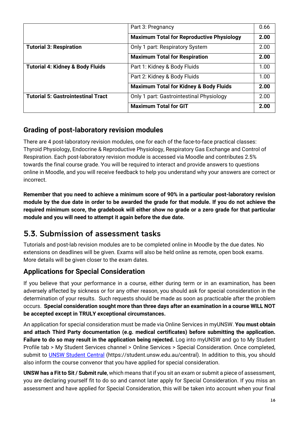|                                             | Part 3: Pregnancy                                 | 0.66 |
|---------------------------------------------|---------------------------------------------------|------|
|                                             | <b>Maximum Total for Reproductive Physiology</b>  | 2.00 |
| <b>Tutorial 3: Respiration</b>              | Only 1 part: Respiratory System                   | 2.00 |
|                                             | <b>Maximum Total for Respiration</b>              | 2.00 |
| <b>Tutorial 4: Kidney &amp; Body Fluids</b> | Part 1: Kidney & Body Fluids                      | 1.00 |
|                                             | Part 2: Kidney & Body Fluids                      | 1.00 |
|                                             | <b>Maximum Total for Kidney &amp; Body Fluids</b> | 2.00 |
| <b>Tutorial 5: Gastrointestinal Tract</b>   | Only 1 part: Gastrointestinal Physiology          | 2.00 |
|                                             | <b>Maximum Total for GIT</b>                      | 2.00 |

## **Grading of post-laboratory revision modules**

There are 4 post-laboratory revision modules, one for each of the face-to-face practical classes: Thyroid Physiology, Endocrine & Reproductive Physiology, Respiratory Gas Exchange and Control of Respiration. Each post-laboratory revision module is accessed via Moodle and contributes 2.5% towards the final course grade. You will be required to interact and provide answers to questions online in Moodle, and you will receive feedback to help you understand why your answers are correct or incorrect.

**Remember that you need to achieve a minimum score of 90% in a particular post-laboratory revision module by the due date in order to be awarded the grade for that module. If you do not achieve the required minimum score, the gradebook will either show no grade or a zero grade for that particular module and you will need to attempt it again before the due date.**

# <span id="page-15-0"></span>5.3. Submission of assessment tasks

Tutorials and post-lab revision modules are to be completed online in Moodle by the due dates. No extensions on deadlines will be given. Exams will also be held online as remote, open book exams. More details will be given closer to the exam dates.

## **Applications for Special Consideration**

If you believe that your performance in a course, either during term or in an examination, has been adversely affected by sickness or for any other reason, you should ask for special consideration in the determination of your results. Such requests should be made as soon as practicable after the problem occurs. **Special consideration sought more than three days after an examination in a course WILL NOT be accepted except in TRULY exceptional circumstances.**

An application for special consideration must be made via Online Services in myUNSW. **You must obtain and attach Third Party documentation (e.g. medical certificates) before submitting the application. Failure to do so may result in the application being rejected.** Log into myUNSW and go to My Student Profile tab > My Student Services channel > Online Services > Special Consideration. Once completed, submit to [UNSW Student Central](https://student.unsw.edu.au/central) (https://student.unsw.edu.au/central). In addition to this, you should also inform the course convenor that you have applied for special consideration.

**UNSW has a Fit to Sit / Submit rule**, which means that if you sit an exam or submit a piece of assessment, you are declaring yourself fit to do so and cannot later apply for Special Consideration. If you miss an assessment and have applied for Special Consideration, this will be taken into account when your final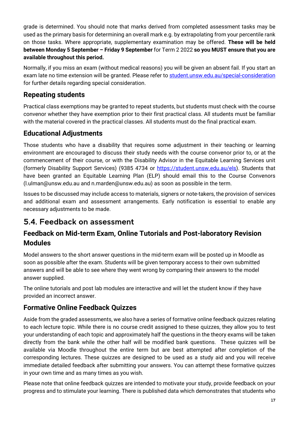grade is determined. You should note that marks derived from completed assessment tasks may be used as the primary basis for determining an overall mark e.g. by extrapolating from your percentile rank on those tasks. Where appropriate, supplementary examination may be offered. **These will be held between Monday 5 September – Friday 9 September** for Term 2 2022 **so you MUST ensure that you are available throughout this period.**

Normally, if you miss an exam (without medical reasons) you will be given an absent fail. If you start an exam late no time extension will be granted. Please refer to [student.unsw.edu.au/special-consideration](https://student.unsw.edu.au/special-consideration) for further details regarding special consideration.

## **Repeating students**

Practical class exemptions may be granted to repeat students, but students must check with the course convenor whether they have exemption prior to their first practical class. All students must be familiar with the material covered in the practical classes. All students must do the final practical exam.

## **Educational Adjustments**

Those students who have a disability that requires some adjustment in their teaching or learning environment are encouraged to discuss their study needs with the course convenor prior to, or at the commencement of their course, or with the Disability Advisor in the Equitable Learning Services unit (formerly Disability Support Services) (9385 4734 or [https://student.unsw.edu.au/els\)](https://student.unsw.edu.au/els). Students that have been granted an Equitable Learning Plan (ELP) should email this to the Course Convenors [\(l.ulman@unsw.edu.au](mailto:l.ulman@unsw.edu.au) and [n.marden@unsw.edu.au\)](mailto:n.marden@unsw.edu.au) as soon as possible in the term.

Issues to be discussed may include access to materials, signers or note-takers, the provision of services and additional exam and assessment arrangements. Early notification is essential to enable any necessary adjustments to be made.

# <span id="page-16-0"></span>5.4. Feedback on assessment

## **Feedback on Mid-term Exam, Online Tutorials and Post-laboratory Revision Modules**

Model answers to the short answer questions in the mid-term exam will be posted up in Moodle as soon as possible after the exam. Students will be given temporary access to their own submitted answers and will be able to see where they went wrong by comparing their answers to the model answer supplied.

The online tutorials and post lab modules are interactive and will let the student know if they have provided an incorrect answer.

## **Formative Online Feedback Quizzes**

Aside from the graded assessments, we also have a series of formative online feedback quizzes relating to each lecture topic. While there is no course credit assigned to these quizzes, they allow you to test your understanding of each topic and approximately half the questions in the theory exams will be taken directly from the bank while the other half will be modified bank questions. These quizzes will be available via Moodle throughout the entire term but are best attempted after completion of the corresponding lectures. These quizzes are designed to be used as a study aid and you will receive immediate detailed feedback after submitting your answers. You can attempt these formative quizzes in your own time and as many times as you wish.

Please note that online feedback quizzes are intended to motivate your study, provide feedback on your progress and to stimulate your learning. There is published data which demonstrates that students who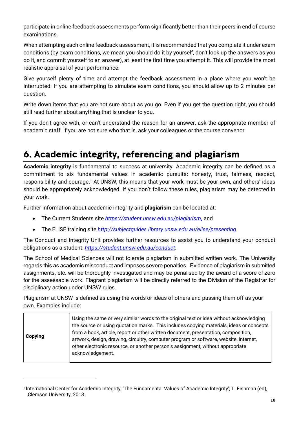participate in online feedback assessments perform significantly better than their peers in end of course examinations.

When attempting each online feedback assessment, it is recommended that you complete it under exam conditions (by exam conditions, we mean you should do it by yourself, don't look up the answers as you do it, and commit yourself to an answer), at least the first time you attempt it. This will provide the most realistic appraisal of your performance.

Give yourself plenty of time and attempt the feedback assessment in a place where you won't be interrupted. If you are attempting to simulate exam conditions, you should allow up to 2 minutes per question.

Write down items that you are not sure about as you go. Even if you get the question right, you should still read further about anything that is unclear to you.

If you don't agree with, or can't understand the reason for an answer, ask the appropriate member of academic staff. If you are not sure who that is, ask your colleagues or the course convenor.

# <span id="page-17-0"></span>6. Academic integrity, referencing and plagiarism

**Academic integrity** is fundamental to success at university. Academic integrity can be defined as a commitment to six fundamental values in academic pursuits**:** honesty, trust, fairness, respect, responsibility and courage.*[1](#page-17-1)* At UNSW, this means that your work must be your own, and others' ideas should be appropriately acknowledged. If you don't follow these rules, plagiarism may be detected in your work.

Further information about academic integrity and **plagiarism** can be located at:

- The Current Students site *<https://student.unsw.edu.au/plagiarism>***,** and
- The ELISE training site *<http://subjectguides.library.unsw.edu.au/elise/presenting>*

The Conduct and Integrity Unit provides further resources to assist you to understand your conduct obligations as a student: *<https://student.unsw.edu.au/conduct>*.

The School of Medical Sciences will not tolerate plagiarism in submitted written work. The University regards this as academic misconduct and imposes severe penalties. Evidence of plagiarism in submitted assignments, etc. will be thoroughly investigated and may be penalised by the award of a score of zero for the assessable work. Flagrant plagiarism will be directly referred to the Division of the Registrar for disciplinary action under UNSW rules.

Plagiarism at UNSW is defined as using the words or ideas of others and passing them off as your own. Examples include:

| Copying |
|---------|
|---------|

<span id="page-17-1"></span><sup>1</sup> International Center for Academic Integrity, 'The Fundamental Values of Academic Integrity', T. Fishman (ed), Clemson University, 2013.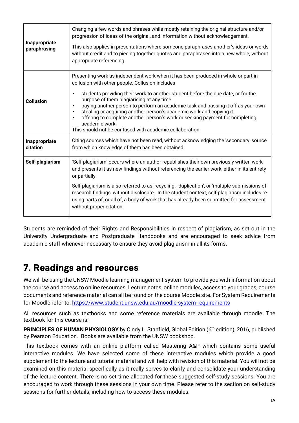| Inappropriate<br>paraphrasing | Changing a few words and phrases while mostly retaining the original structure and/or<br>progression of ideas of the original, and information without acknowledgement.<br>This also applies in presentations where someone paraphrases another's ideas or words<br>without credit and to piecing together quotes and paraphrases into a new whole, without<br>appropriate referencing.                                                                                                                                                                                                                           |
|-------------------------------|-------------------------------------------------------------------------------------------------------------------------------------------------------------------------------------------------------------------------------------------------------------------------------------------------------------------------------------------------------------------------------------------------------------------------------------------------------------------------------------------------------------------------------------------------------------------------------------------------------------------|
| <b>Collusion</b>              | Presenting work as independent work when it has been produced in whole or part in<br>collusion with other people. Collusion includes<br>students providing their work to another student before the due date, or for the<br>п<br>purpose of them plagiarising at any time<br>paying another person to perform an academic task and passing it off as your own<br>п<br>stealing or acquiring another person's academic work and copying it<br>٠<br>offering to complete another person's work or seeking payment for completing<br>٠<br>academic work.<br>This should not be confused with academic collaboration. |
| Inappropriate<br>citation     | Citing sources which have not been read, without acknowledging the 'secondary' source<br>from which knowledge of them has been obtained.                                                                                                                                                                                                                                                                                                                                                                                                                                                                          |
| Self-plagiarism               | 'Self-plagiarism' occurs where an author republishes their own previously written work<br>and presents it as new findings without referencing the earlier work, either in its entirety<br>or partially.<br>Self-plagiarism is also referred to as 'recycling', 'duplication', or 'multiple submissions of<br>research findings' without disclosure. In the student context, self-plagiarism includes re-<br>using parts of, or all of, a body of work that has already been submitted for assessment<br>without proper citation.                                                                                  |

Students are reminded of their Rights and Responsibilities in respect of plagiarism, as set out in the University Undergraduate and Postgraduate Handbooks and are encouraged to seek advice from academic staff whenever necessary to ensure they avoid plagiarism in all its forms.

# <span id="page-18-0"></span>7. Readings and resources

We will be using the UNSW Moodle learning management system to provide you with information about the course and access to online resources. Lecture notes, online modules, access to your grades, course documents and reference material can all be found on the course Moodle site. For System Requirements for Moodle refer to:<https://www.student.unsw.edu.au/moodle-system-requirements>

All resources such as textbooks and some reference materials are available through moodle. The textbook for this course is:

**PRINCIPLES OF HUMAN PHYSIOLOGY** by Cindy L. Stanfield, Global Edition (6<sup>th</sup> edition), 2016, published by Pearson Education. Books are available from the UNSW bookshop.

This textbook comes with an online platform called Mastering A&P which contains some useful interactive modules. We have selected some of these interactive modules which provide a good supplement to the lecture and tutorial material and will help with revision of this material. You will not be examined on this material specifically as it really serves to clarify and consolidate your understanding of the lecture content. There is no set time allocated for these suggested self-study sessions. You are encouraged to work through these sessions in your own time. Please refer to the section on self-study sessions for further details, including how to access these modules.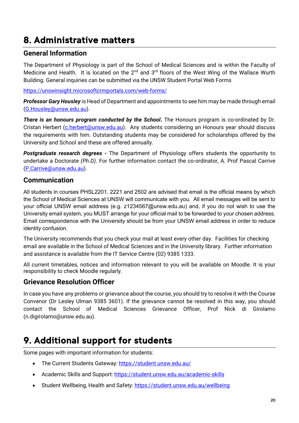# <span id="page-19-0"></span>8. Administrative matters

#### **General Information**

The Department of Physiology is part of the School of Medical Sciences and is within the Faculty of Medicine and Health. It is located on the  $2^{nd}$  and  $3^{rd}$  floors of the West Wing of the Wallace Wurth Building. General inquiries can be submitted via the UNSW Student Portal Web Forms

<https://unswinsight.microsoftcrmportals.com/web-forms/>

*Professor Gary Housley* is Head of Department and appointments to see him may be made through email [\(G.Housley@unsw.edu.au\)](mailto:G.Housley@unsw.edu.au).

*There is an honours program conducted by the School***.** The Honours program is co-ordinated by Dr. Cristan Herbert [\(c.herbert@unsw.edu.au\)](mailto:c.herbert@unsw.edu.au). Any students considering an Honours year should discuss the requirements with him. Outstanding students may be considered for scholarships offered by the University and School and these are offered annually.

*Postgraduate research degrees -* The Department of Physiology offers students the opportunity to undertake a Doctorate *(Ph.D)*. For further information contact the co-ordinator, A. Prof Pascal Carrive [\(P.Carrive@unsw.edu.au\)](mailto:P.Carrive@unsw.edu.au).

#### **Communication**

All students in courses PHSL2201, 2221 and 2502 are advised that email is the official means by which the School of Medical Sciences at UNSW will communicate with you. All email messages will be sent to your official UNSW email address (e.g. z1234567@unsw.edu.au) and, if you do not wish to use the University email system, you MUST arrange for your official mail to be forwarded to your chosen address. Email correspondence with the University should be from your UNSW email address in order to reduce identity confusion.

The University recommends that you check your mail at least every other day. Facilities for checking email are available in the School of Medical Sciences and in the University library. Further information and assistance is available from the [IT Service Centre](https://www.it.unsw.edu.au/students/index.html) (02) 9385 1333.

All current timetables, notices and information relevant to you will be available on Moodle. It is your responsibility to check Moodle regularly.

#### **Grievance Resolution Officer**

In case you have any problems or grievance about the course, you should try to resolve it with the Course Convenor (Dr Lesley Ulman 9385 3601). If the grievance cannot be resolved in this way, you should contact the School of Medical Sciences Grievance Officer, Prof Nick di Girolamo [\(n.digirolamo@unsw.edu.au\)](mailto:n.digirolamo@unsw.edu.au).

# <span id="page-19-1"></span>9. Additional support for students

Some pages with important information for students:

- The Current Students Gateway:<https://student.unsw.edu.au/>
- Academic Skills and Support:<https://student.unsw.edu.au/academic-skills>
- Student Wellbeing, Health and Safety: https://student.unsw.edu.au/wellbeing